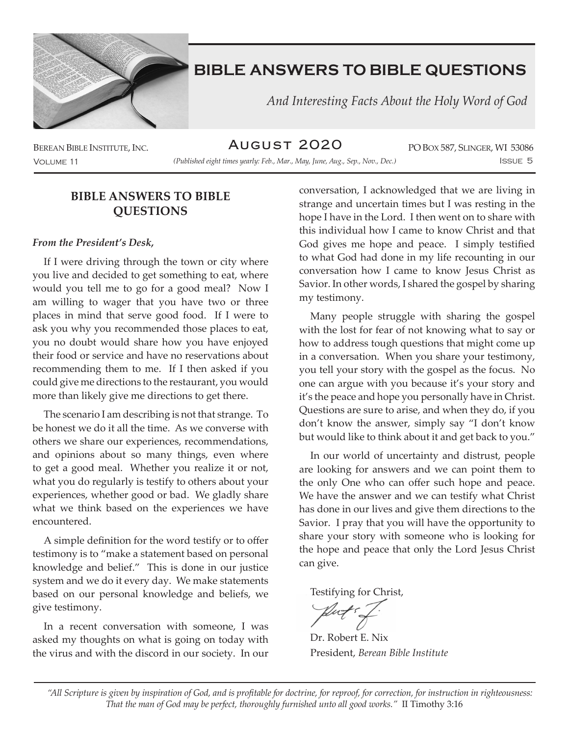

 *And Interesting Facts About the Holy Word of God*

August 2020

Volume 11 Issue 5 *(Published eight times yearly: Feb., Mar., May, June, Aug., Sep., Nov., Dec.)*

BEREAN BIBLE INSTITUTE, INC. PO BOX 587, SLINGER, WI 53086

### **BIBLE ANSWERS TO BIBLE QUESTIONS**

#### *From the President's Desk,*

If I were driving through the town or city where you live and decided to get something to eat, where would you tell me to go for a good meal? Now I am willing to wager that you have two or three places in mind that serve good food. If I were to ask you why you recommended those places to eat, you no doubt would share how you have enjoyed their food or service and have no reservations about recommending them to me. If I then asked if you could give me directions to the restaurant, you would more than likely give me directions to get there.

The scenario I am describing is not that strange. To be honest we do it all the time. As we converse with others we share our experiences, recommendations, and opinions about so many things, even where to get a good meal. Whether you realize it or not, what you do regularly is testify to others about your experiences, whether good or bad. We gladly share what we think based on the experiences we have encountered.

A simple definition for the word testify or to offer testimony is to "make a statement based on personal knowledge and belief." This is done in our justice system and we do it every day. We make statements based on our personal knowledge and beliefs, we give testimony.

In a recent conversation with someone, I was asked my thoughts on what is going on today with the virus and with the discord in our society. In our

conversation, I acknowledged that we are living in strange and uncertain times but I was resting in the hope I have in the Lord. I then went on to share with this individual how I came to know Christ and that God gives me hope and peace. I simply testified to what God had done in my life recounting in our conversation how I came to know Jesus Christ as Savior. In other words, I shared the gospel by sharing my testimony.

Many people struggle with sharing the gospel with the lost for fear of not knowing what to say or how to address tough questions that might come up in a conversation. When you share your testimony, you tell your story with the gospel as the focus. No one can argue with you because it's your story and it's the peace and hope you personally have in Christ. Questions are sure to arise, and when they do, if you don't know the answer, simply say "I don't know but would like to think about it and get back to you."

In our world of uncertainty and distrust, people are looking for answers and we can point them to the only One who can offer such hope and peace. We have the answer and we can testify what Christ has done in our lives and give them directions to the Savior. I pray that you will have the opportunity to share your story with someone who is looking for the hope and peace that only the Lord Jesus Christ can give.

Testifying for Christ,

Dr. Robert E. Nix President, *Berean Bible Institute*

*"All Scripture is given by inspiration of God, and is profitable for doctrine, for reproof, for correction, for instruction in righteousness: That the man of God may be perfect, thoroughly furnished unto all good works."* II Timothy 3:16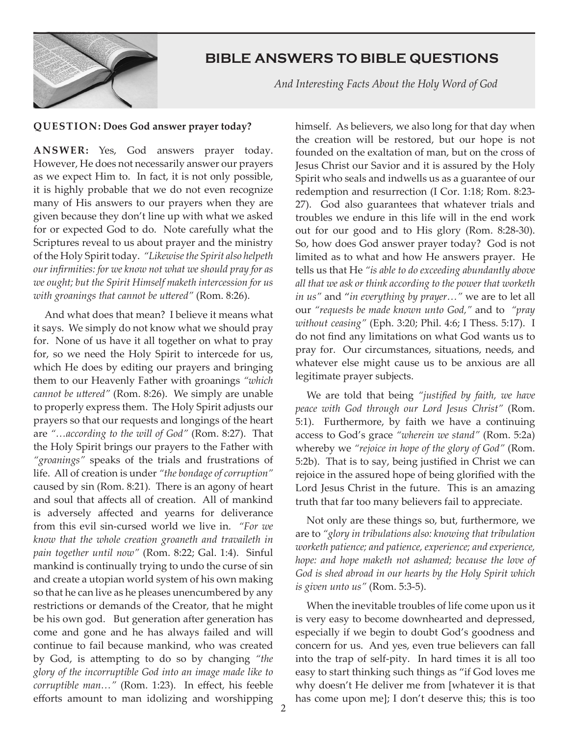

 *And Interesting Facts About the Holy Word of God*

#### **QUESTION: Does God answer prayer today?**

**ANSWER:** Yes, God answers prayer today. However, He does not necessarily answer our prayers as we expect Him to. In fact, it is not only possible, it is highly probable that we do not even recognize many of His answers to our prayers when they are given because they don't line up with what we asked for or expected God to do. Note carefully what the Scriptures reveal to us about prayer and the ministry of the Holy Spirit today. *"Likewise the Spirit also helpeth our infirmities: for we know not what we should pray for as we ought; but the Spirit Himself maketh intercession for us with groanings that cannot be uttered"* (Rom. 8:26).

And what does that mean? I believe it means what it says. We simply do not know what we should pray for. None of us have it all together on what to pray for, so we need the Holy Spirit to intercede for us, which He does by editing our prayers and bringing them to our Heavenly Father with groanings *"which cannot be uttered"* (Rom. 8:26). We simply are unable to properly express them. The Holy Spirit adjusts our prayers so that our requests and longings of the heart are *"…according to the will of God"* (Rom. 8:27). That the Holy Spirit brings our prayers to the Father with *"groanings"* speaks of the trials and frustrations of life. All of creation is under *"the bondage of corruption"* caused by sin (Rom. 8:21). There is an agony of heart and soul that affects all of creation. All of mankind is adversely affected and yearns for deliverance from this evil sin-cursed world we live in. *"For we know that the whole creation groaneth and travaileth in pain together until now"* (Rom. 8:22; Gal. 1:4). Sinful mankind is continually trying to undo the curse of sin and create a utopian world system of his own making so that he can live as he pleases unencumbered by any restrictions or demands of the Creator, that he might be his own god. But generation after generation has come and gone and he has always failed and will continue to fail because mankind, who was created by God, is attempting to do so by changing *"the glory of the incorruptible God into an image made like to corruptible man…"* (Rom. 1:23). In effect, his feeble efforts amount to man idolizing and worshipping

himself. As believers, we also long for that day when the creation will be restored, but our hope is not founded on the exaltation of man, but on the cross of Jesus Christ our Savior and it is assured by the Holy Spirit who seals and indwells us as a guarantee of our redemption and resurrection (I Cor. 1:18; Rom. 8:23- 27). God also guarantees that whatever trials and troubles we endure in this life will in the end work out for our good and to His glory (Rom. 8:28-30). So, how does God answer prayer today? God is not limited as to what and how He answers prayer. He tells us that He *"is able to do exceeding abundantly above all that we ask or think according to the power that worketh in us"* and "*in everything by prayer…"* we are to let all our *"requests be made known unto God,"* and to *"pray without ceasing"* (Eph. 3:20; Phil. 4:6; I Thess. 5:17). I do not find any limitations on what God wants us to pray for. Our circumstances, situations, needs, and whatever else might cause us to be anxious are all legitimate prayer subjects.

We are told that being *"justified by faith, we have peace with God through our Lord Jesus Christ"* (Rom. 5:1). Furthermore, by faith we have a continuing access to God's grace *"wherein we stand"* (Rom. 5:2a) whereby we *"rejoice in hope of the glory of God"* (Rom. 5:2b). That is to say, being justified in Christ we can rejoice in the assured hope of being glorified with the Lord Jesus Christ in the future. This is an amazing truth that far too many believers fail to appreciate.

Not only are these things so, but, furthermore, we are to *"glory in tribulations also: knowing that tribulation worketh patience; and patience, experience; and experience, hope: and hope maketh not ashamed; because the love of God is shed abroad in our hearts by the Holy Spirit which is given unto us"* (Rom. 5:3-5).

When the inevitable troubles of life come upon us it is very easy to become downhearted and depressed, especially if we begin to doubt God's goodness and concern for us. And yes, even true believers can fall into the trap of self-pity. In hard times it is all too easy to start thinking such things as "if God loves me why doesn't He deliver me from [whatever it is that has come upon me]; I don't deserve this; this is too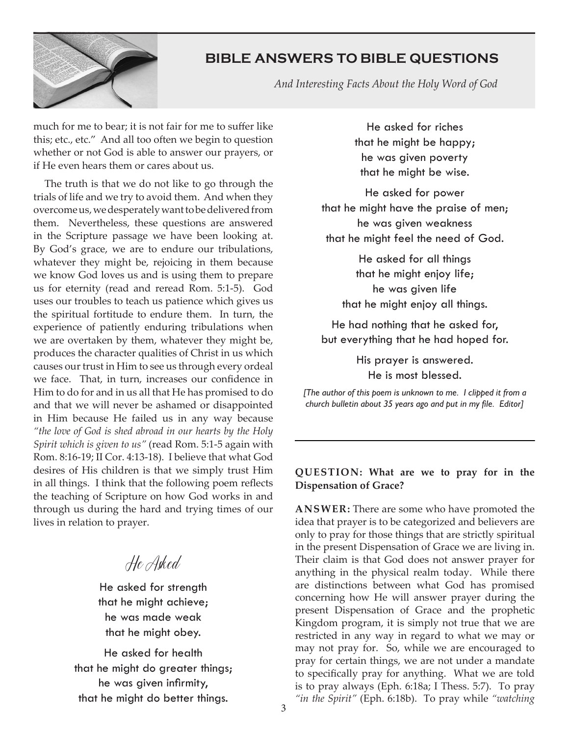

 *And Interesting Facts About the Holy Word of God*

much for me to bear; it is not fair for me to suffer like this; etc., etc." And all too often we begin to question whether or not God is able to answer our prayers, or if He even hears them or cares about us.

The truth is that we do not like to go through the trials of life and we try to avoid them. And when they overcome us, we desperately want to be delivered from them. Nevertheless, these questions are answered in the Scripture passage we have been looking at. By God's grace, we are to endure our tribulations, whatever they might be, rejoicing in them because we know God loves us and is using them to prepare us for eternity (read and reread Rom. 5:1-5). God uses our troubles to teach us patience which gives us the spiritual fortitude to endure them. In turn, the experience of patiently enduring tribulations when we are overtaken by them, whatever they might be, produces the character qualities of Christ in us which causes our trust in Him to see us through every ordeal we face. That, in turn, increases our confidence in Him to do for and in us all that He has promised to do and that we will never be ashamed or disappointed in Him because He failed us in any way because *"the love of God is shed abroad in our hearts by the Holy Spirit which is given to us"* (read Rom. 5:1-5 again with Rom. 8:16-19; II Cor. 4:13-18). I believe that what God desires of His children is that we simply trust Him in all things. I think that the following poem reflects the teaching of Scripture on how God works in and through us during the hard and trying times of our lives in relation to prayer.

He Asked

He asked for strength that he might achieve; he was made weak that he might obey.

He asked for health that he might do greater things; he was given infirmity, that he might do better things.

He asked for riches that he might be happy; he was given poverty that he might be wise.

He asked for power that he might have the praise of men; he was given weakness that he might feel the need of God.

> He asked for all things that he might enjoy life; he was given life that he might enjoy all things.

He had nothing that he asked for, but everything that he had hoped for.

> His prayer is answered. He is most blessed.

*[The author of this poem is unknown to me. I clipped it from a church bulletin about 35 years ago and put in my file. Editor]*

#### **QUESTION: What are we to pray for in the Dispensation of Grace?**

**ANSWER:** There are some who have promoted the idea that prayer is to be categorized and believers are only to pray for those things that are strictly spiritual in the present Dispensation of Grace we are living in. Their claim is that God does not answer prayer for anything in the physical realm today. While there are distinctions between what God has promised concerning how He will answer prayer during the present Dispensation of Grace and the prophetic Kingdom program, it is simply not true that we are restricted in any way in regard to what we may or may not pray for. So, while we are encouraged to pray for certain things, we are not under a mandate to specifically pray for anything. What we are told is to pray always (Eph. 6:18a; I Thess. 5:7). To pray *"in the Spirit"* (Eph. 6:18b). To pray while *"watching*